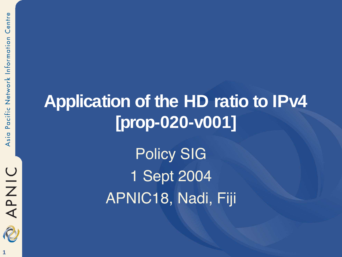#### **Application of the HD ratio to IPv4 [prop-020-v001]**

Policy SIG 1 Sept 2004 APNIC18, Nadi, Fiji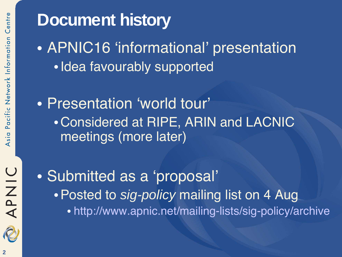#### **Document history** • APNIC16 'informational' presentation

- •Idea favourably supported
- Presentation 'world tour' •Considered at RIPE, ARIN and LACNIC meetings (more later)

• Submitted as a 'proposal' • Posted to sig-policy mailing list on 4 Aug • http://www.apnic.net/mailing-lists/sig-policy/archive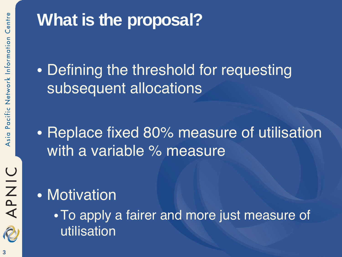

#### **What is the proposal?**

• Defining the threshold for requesting subsequent allocations

• Replace fixed 80% measure of utilisation with a variable % measure

#### • Motivation

•To apply a fairer and more just measure of utilisation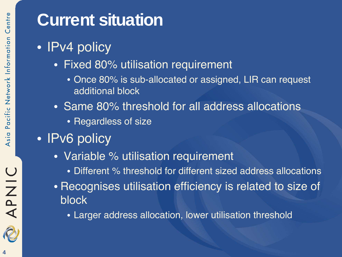#### **Current situation**

- **IPv4 policy** 
	- Fixed 80% utilisation requirement
		- Once 80% is sub-allocated or assigned, LIR can request additional block
	- Same 80% threshold for all address allocations
		- Regardless of size
- **IPv6 policy** 
	- Variable % utilisation requirement
		- Different % threshold for different sized address allocations
	- Recognises utilisation efficiency is related to size of block
		- Larger address allocation, lower utilisation threshold

APNIC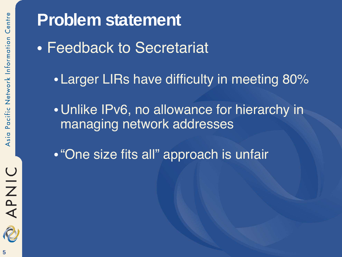**Problem statement** • Feedback to Secretariat • Larger LIRs have difficulty in meeting 80% •Unlike IPv6, no allowance for hierarchy in managing network addresses •"One size fits all" approach is unfair

**OINAR**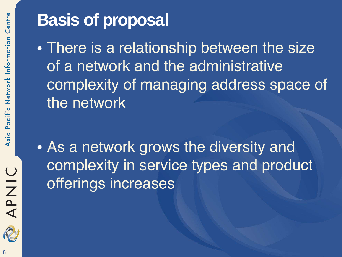#### **Basis of proposal**

• There is a relationship between the size of a network and the administrative complexity of managing address space of the network

• As a network grows the diversity and complexity in service types and product offerings increases

APNIC

2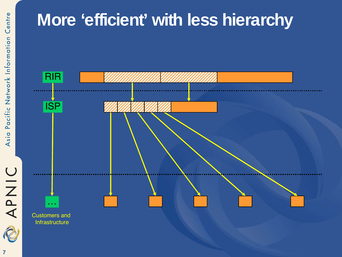

#### **More 'efficient' with less hierarchy**

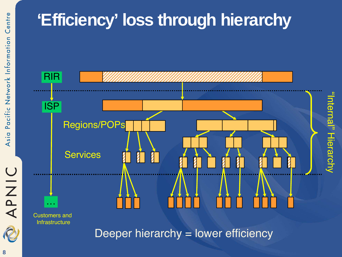#### **'Efficiency' loss through hierarchy**



Deeper hierarchy = lower efficiency

APNIC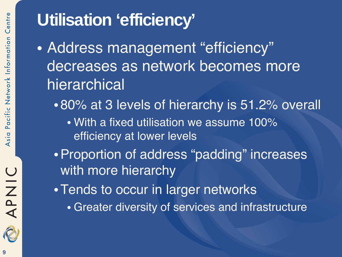#### **Utilisation 'efficiency'**

- Address management "efficiency" decreases as network becomes more hierarchical
	- 80% at 3 levels of hierarchy is 51.2% overall
		- With a fixed utilisation we assume 100% efficiency at lower levels
	- •Proportion of address "padding" increases with more hierarchy
	- •Tends to occur in larger networks
		- Greater diversity of services and infrastructure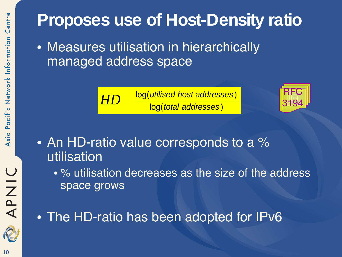#### **Proposes use of Host-Density ratio**

• Measures utilisation in hierarchically managed address space





- An HD-ratio value corresponds to a % utilisation
	- % utilisation decreases as the size of the address space grows
- The HD-ratio has been adopted for IPv6

R

APNIC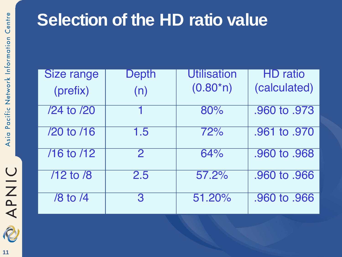

#### **Selection of the HD ratio value**

| <b>Size range</b> | <b>Depth</b> | <b>Utilisation</b> | <b>HD</b> ratio |
|-------------------|--------------|--------------------|-----------------|
| (prefix)          | (n)          | $(0.80*)$          | (calculated)    |
| /24 to /20        |              | 80%                | .960 to .973    |
| /20 to /16        | 1.5          | 72%                | .961 to .970    |
| 716 to 712        | $\mathbf{2}$ | 64%                | .960 to .968    |
| $/12$ to $/8$     | 2.5          | 57.2%              | .960 to .966    |
| /8 to /4          | З            | 51.20%             | .960 to .966    |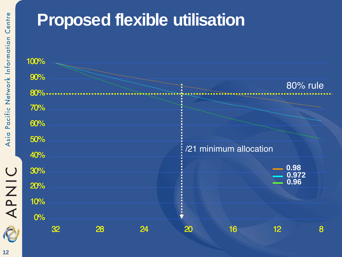

#### **Proposed flexible utilisation**

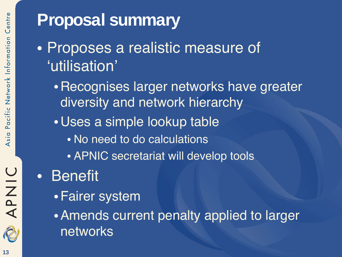

#### **Proposal summary**

- Proposes a realistic measure of 'utilisation'
	- •Recognises larger networks have greater diversity and network hierarchy
	- •Uses a simple lookup table
		- No need to do calculations
		- APNIC secretariat will develop tools

#### • Benefit

- •Fairer system
- •Amends current penalty applied to larger networks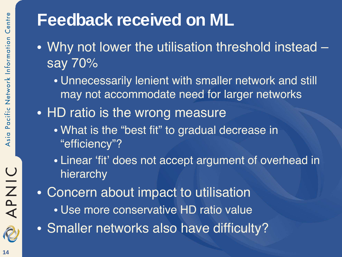#### **Feedback received on ML**

- Why not lower the utilisation threshold instead say 70%
	- Unnecessarily lenient with smaller network and still may not accommodate need for larger networks
- HD ratio is the wrong measure
	- What is the "best fit" to gradual decrease in "efficiency"?
	- Linear 'fit' does not accept argument of overhead in hierarchy
- Concern about impact to utilisation
	- Use more conservative HD ratio value
- Smaller networks also have difficulty?

APNIC

R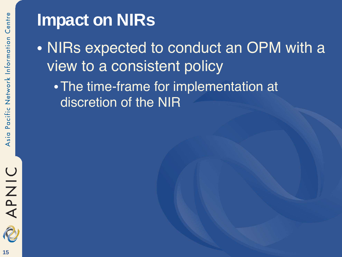#### **Impact on NIRs**

• NIRs expected to conduct an OPM with a view to a consistent policy

•The time-frame for implementation at discretion of the NIR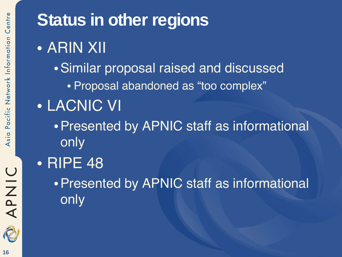**Status in other regions** • ARIN XII •Similar proposal raised and discussed • Proposal abandoned as "too complex" • LACNIC VI •Presented by APNIC staff as informational only • RIPE 48 •Presented by APNIC staff as informational only

APNIC

2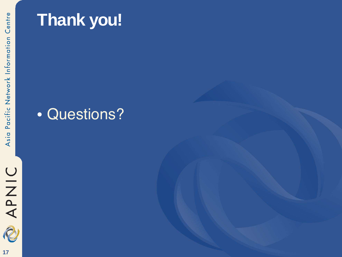

**17**

#### **Thank you!**

#### • Questions?